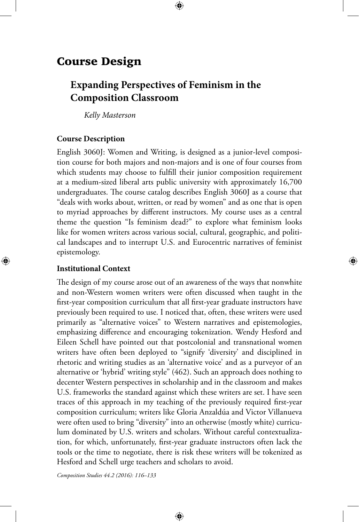# Course Design

# **Expanding Perspectives of Feminism in the Composition Classroom**

⊕

*Kelly Masterson*

### **Course Description**

English 3060J: Women and Writing, is designed as a junior-level composition course for both majors and non-majors and is one of four courses from which students may choose to fulfill their junior composition requirement at a medium-sized liberal arts public university with approximately 16,700 undergraduates. The course catalog describes English 3060J as a course that "deals with works about, written, or read by women" and as one that is open to myriad approaches by different instructors. My course uses as a central theme the question "Is feminism dead?" to explore what feminism looks like for women writers across various social, cultural, geographic, and political landscapes and to interrupt U.S. and Eurocentric narratives of feminist epistemology.

⊕

# **Institutional Context**

⊕

The design of my course arose out of an awareness of the ways that nonwhite and non-Western women writers were often discussed when taught in the first-year composition curriculum that all first-year graduate instructors have previously been required to use. I noticed that, often, these writers were used primarily as "alternative voices" to Western narratives and epistemologies, emphasizing difference and encouraging tokenization. Wendy Hesford and Eileen Schell have pointed out that postcolonial and transnational women writers have often been deployed to "signify 'diversity' and disciplined in rhetoric and writing studies as an 'alternative voice' and as a purveyor of an alternative or 'hybrid' writing style" (462). Such an approach does nothing to decenter Western perspectives in scholarship and in the classroom and makes U.S. frameworks the standard against which these writers are set. I have seen traces of this approach in my teaching of the previously required first-year composition curriculum; writers like Gloria Anzaldúa and Victor Villanueva were often used to bring "diversity" into an otherwise (mostly white) curriculum dominated by U.S. writers and scholars. Without careful contextualization, for which, unfortunately, first-year graduate instructors often lack the tools or the time to negotiate, there is risk these writers will be tokenized as Hesford and Schell urge teachers and scholars to avoid.

⊕

*Composition Studies 44.2 (2016): 116–133*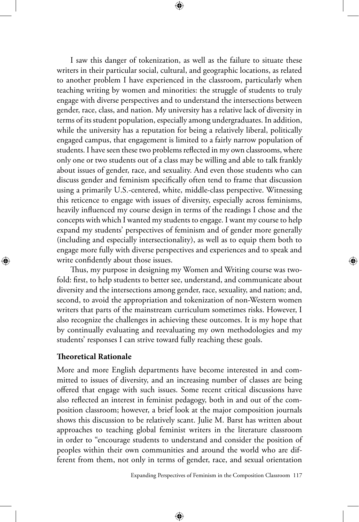I saw this danger of tokenization, as well as the failure to situate these writers in their particular social, cultural, and geographic locations, as related to another problem I have experienced in the classroom, particularly when teaching writing by women and minorities: the struggle of students to truly engage with diverse perspectives and to understand the intersections between gender, race, class, and nation. My university has a relative lack of diversity in terms of its student population, especially among undergraduates. In addition, while the university has a reputation for being a relatively liberal, politically engaged campus, that engagement is limited to a fairly narrow population of students. I have seen these two problems reflected in my own classrooms, where only one or two students out of a class may be willing and able to talk frankly about issues of gender, race, and sexuality. And even those students who can discuss gender and feminism specifically often tend to frame that discussion using a primarily U.S.-centered, white, middle-class perspective. Witnessing this reticence to engage with issues of diversity, especially across feminisms, heavily influenced my course design in terms of the readings I chose and the concepts with which I wanted my students to engage. I want my course to help expand my students' perspectives of feminism and of gender more generally (including and especially intersectionality), as well as to equip them both to engage more fully with diverse perspectives and experiences and to speak and write confidently about those issues.

Thus, my purpose in designing my Women and Writing course was twofold: first, to help students to better see, understand, and communicate about diversity and the intersections among gender, race, sexuality, and nation; and, second, to avoid the appropriation and tokenization of non-Western women writers that parts of the mainstream curriculum sometimes risks. However, I also recognize the challenges in achieving these outcomes. It is my hope that by continually evaluating and reevaluating my own methodologies and my students' responses I can strive toward fully reaching these goals.

# **Theoretical Rationale**

⊕

More and more English departments have become interested in and committed to issues of diversity, and an increasing number of classes are being offered that engage with such issues. Some recent critical discussions have also reflected an interest in feminist pedagogy, both in and out of the composition classroom; however, a brief look at the major composition journals shows this discussion to be relatively scant. Julie M. Barst has written about approaches to teaching global feminist writers in the literature classroom in order to "encourage students to understand and consider the position of peoples within their own communities and around the world who are different from them, not only in terms of gender, race, and sexual orientation

Expanding Perspectives of Feminism in the Composition Classroom 117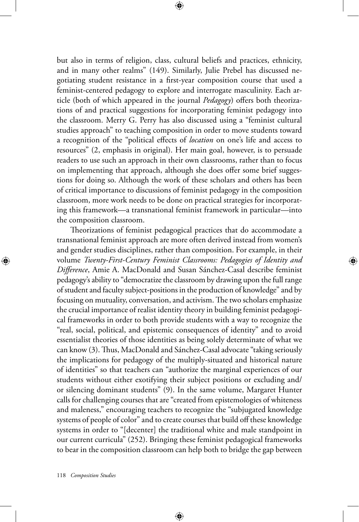but also in terms of religion, class, cultural beliefs and practices, ethnicity, and in many other realms" (149). Similarly, Julie Prebel has discussed negotiating student resistance in a first-year composition course that used a feminist-centered pedagogy to explore and interrogate masculinity. Each article (both of which appeared in the journal *Pedagogy*) offers both theorizations of and practical suggestions for incorporating feminist pedagogy into the classroom. Merry G. Perry has also discussed using a "feminist cultural studies approach" to teaching composition in order to move students toward a recognition of the "political effects of *location* on one's life and access to resources" (2, emphasis in original). Her main goal, however, is to persuade readers to use such an approach in their own classrooms, rather than to focus on implementing that approach, although she does offer some brief suggestions for doing so. Although the work of these scholars and others has been of critical importance to discussions of feminist pedagogy in the composition classroom, more work needs to be done on practical strategies for incorporat-

⊕

ing this framework—a transnational feminist framework in particular—into

the composition classroom. Theorizations of feminist pedagogical practices that do accommodate a transnational feminist approach are more often derived instead from women's and gender studies disciplines, rather than composition. For example, in their volume *Twenty-First-Century Feminist Classrooms: Pedagogies of Identity and Difference*, Amie A. MacDonald and Susan Sánchez-Casal describe feminist pedagogy's ability to "democratize the classroom by drawing upon the full range of student and faculty subject-positions in the production of knowledge" and by focusing on mutuality, conversation, and activism. The two scholars emphasize the crucial importance of realist identity theory in building feminist pedagogical frameworks in order to both provide students with a way to recognize the "real, social, political, and epistemic consequences of identity" and to avoid essentialist theories of those identities as being solely determinate of what we can know (3). Thus, MacDonald and Sánchez-Casal advocate "taking seriously the implications for pedagogy of the multiply-situated and historical nature of identities" so that teachers can "authorize the marginal experiences of our students without either exotifying their subject positions or excluding and/ or silencing dominant students" (9). In the same volume, Margaret Hunter calls for challenging courses that are "created from epistemologies of whiteness and maleness," encouraging teachers to recognize the "subjugated knowledge systems of people of color" and to create courses that build off these knowledge systems in order to "[decenter] the traditional white and male standpoint in our current curricula" (252). Bringing these feminist pedagogical frameworks to bear in the composition classroom can help both to bridge the gap between

⊕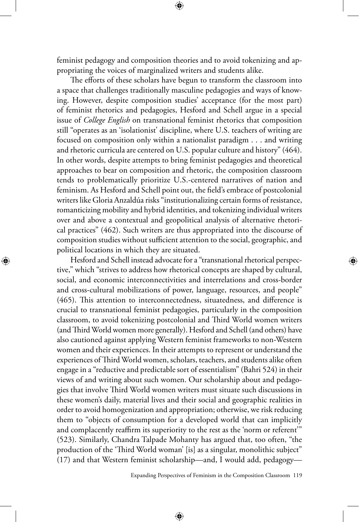feminist pedagogy and composition theories and to avoid tokenizing and appropriating the voices of marginalized writers and students alike.

The efforts of these scholars have begun to transform the classroom into a space that challenges traditionally masculine pedagogies and ways of knowing. However, despite composition studies' acceptance (for the most part) of feminist rhetorics and pedagogies, Hesford and Schell argue in a special issue of *College English* on transnational feminist rhetorics that composition still "operates as an 'isolationist' discipline, where U.S. teachers of writing are focused on composition only within a nationalist paradigm . . . and writing and rhetoric curricula are centered on U.S. popular culture and history" (464). In other words, despite attempts to bring feminist pedagogies and theoretical approaches to bear on composition and rhetoric, the composition classroom tends to problematically prioritize U.S.-centered narratives of nation and feminism. As Hesford and Schell point out, the field's embrace of postcolonial writers like Gloria Anzaldúa risks "institutionalizing certain forms of resistance, romanticizing mobility and hybrid identities, and tokenizing individual writers over and above a contextual and geopolitical analysis of alternative rhetorical practices" (462). Such writers are thus appropriated into the discourse of composition studies without sufficient attention to the social, geographic, and political locations in which they are situated.

⊕

Hesford and Schell instead advocate for a "transnational rhetorical perspective," which "strives to address how rhetorical concepts are shaped by cultural, social, and economic interconnectivities and interrelations and cross-border and cross-cultural mobilizations of power, language, resources, and people" (465). This attention to interconnectedness, situatedness, and difference is crucial to transnational feminist pedagogies, particularly in the composition classroom, to avoid tokenizing postcolonial and Third World women writers (and Third World women more generally). Hesford and Schell (and others) have also cautioned against applying Western feminist frameworks to non-Western women and their experiences. In their attempts to represent or understand the experiences of Third World women, scholars, teachers, and students alike often engage in a "reductive and predictable sort of essentialism" (Bahri 524) in their views of and writing about such women. Our scholarship about and pedagogies that involve Third World women writers must situate such discussions in these women's daily, material lives and their social and geographic realities in order to avoid homogenization and appropriation; otherwise, we risk reducing them to "objects of consumption for a developed world that can implicitly and complacently reaffirm its superiority to the rest as the 'norm or referent'" (523). Similarly, Chandra Talpade Mohanty has argued that, too often, "the production of the 'Third World woman' [is] as a singular, monolithic subject" (17) and that Western feminist scholarship—and, I would add, pedagogy—

⊕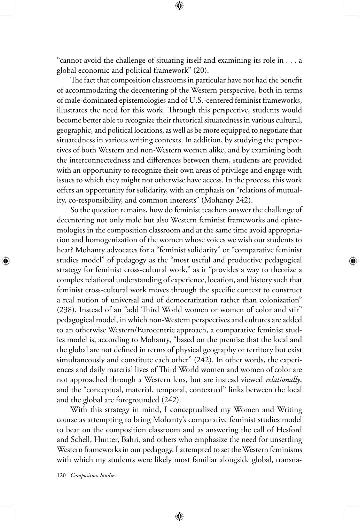"cannot avoid the challenge of situating itself and examining its role in . . . a global economic and political framework" (20).

The fact that composition classrooms in particular have not had the benefit of accommodating the decentering of the Western perspective, both in terms of male-dominated epistemologies and of U.S.-centered feminist frameworks, illustrates the need for this work. Through this perspective, students would become better able to recognize their rhetorical situatedness in various cultural, geographic, and political locations, as well as be more equipped to negotiate that situatedness in various writing contexts. In addition, by studying the perspectives of both Western and non-Western women alike, and by examining both the interconnectedness and differences between them, students are provided with an opportunity to recognize their own areas of privilege and engage with issues to which they might not otherwise have access. In the process, this work offers an opportunity for solidarity, with an emphasis on "relations of mutuality, co-responsibility, and common interests" (Mohanty 242).

So the question remains, how do feminist teachers answer the challenge of decentering not only male but also Western feminist frameworks and epistemologies in the composition classroom and at the same time avoid appropriation and homogenization of the women whose voices we wish our students to hear? Mohanty advocates for a "feminist solidarity" or "comparative feminist studies model" of pedagogy as the "most useful and productive pedagogical strategy for feminist cross-cultural work," as it "provides a way to theorize a complex relational understanding of experience, location, and history such that feminist cross-cultural work moves through the specific context to construct a real notion of universal and of democratization rather than colonization" (238). Instead of an "add Third World women or women of color and stir" pedagogical model, in which non-Western perspectives and cultures are added to an otherwise Western/Eurocentric approach, a comparative feminist studies model is, according to Mohanty, "based on the premise that the local and the global are not defined in terms of physical geography or territory but exist simultaneously and constitute each other" (242). In other words, the experiences and daily material lives of Third World women and women of color are not approached through a Western lens, but are instead viewed *relationally*, and the "conceptual, material, temporal, contextual" links between the local and the global are foregrounded (242).

With this strategy in mind, I conceptualized my Women and Writing course as attempting to bring Mohanty's comparative feminist studies model to bear on the composition classroom and as answering the call of Hesford and Schell, Hunter, Bahri, and others who emphasize the need for unsettling Western frameworks in our pedagogy. I attempted to set the Western feminisms with which my students were likely most familiar alongside global, transna-

⊕

120 *Composition Studies*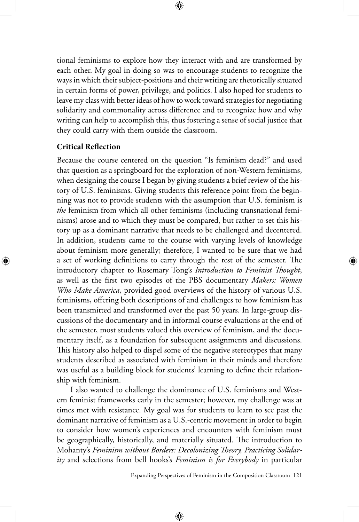⊕

tional feminisms to explore how they interact with and are transformed by each other. My goal in doing so was to encourage students to recognize the ways in which their subject-positions and their writing are rhetorically situated in certain forms of power, privilege, and politics. I also hoped for students to leave my class with better ideas of how to work toward strategies for negotiating solidarity and commonality across difference and to recognize how and why writing can help to accomplish this, thus fostering a sense of social justice that they could carry with them outside the classroom.

# **Critical Reflection**

⊕

Because the course centered on the question "Is feminism dead?" and used that question as a springboard for the exploration of non-Western feminisms, when designing the course I began by giving students a brief review of the history of U.S. feminisms. Giving students this reference point from the beginning was not to provide students with the assumption that U.S. feminism is *the* feminism from which all other feminisms (including transnational feminisms) arose and to which they must be compared, but rather to set this history up as a dominant narrative that needs to be challenged and decentered. In addition, students came to the course with varying levels of knowledge about feminism more generally; therefore, I wanted to be sure that we had a set of working definitions to carry through the rest of the semester. The introductory chapter to Rosemary Tong's *Introduction to Feminist Thought*, as well as the first two episodes of the PBS documentary *Makers: Women Who Make America*, provided good overviews of the history of various U.S. feminisms, offering both descriptions of and challenges to how feminism has been transmitted and transformed over the past 50 years. In large-group discussions of the documentary and in informal course evaluations at the end of the semester, most students valued this overview of feminism, and the documentary itself, as a foundation for subsequent assignments and discussions. This history also helped to dispel some of the negative stereotypes that many students described as associated with feminism in their minds and therefore was useful as a building block for students' learning to define their relationship with feminism.

I also wanted to challenge the dominance of U.S. feminisms and Western feminist frameworks early in the semester; however, my challenge was at times met with resistance. My goal was for students to learn to see past the dominant narrative of feminism as a U.S.-centric movement in order to begin to consider how women's experiences and encounters with feminism must be geographically, historically, and materially situated. The introduction to Mohanty's *Feminism without Borders: Decolonizing Theory, Practicing Solidarity* and selections from bell hooks's *Feminism is for Everybody* in particular

⊕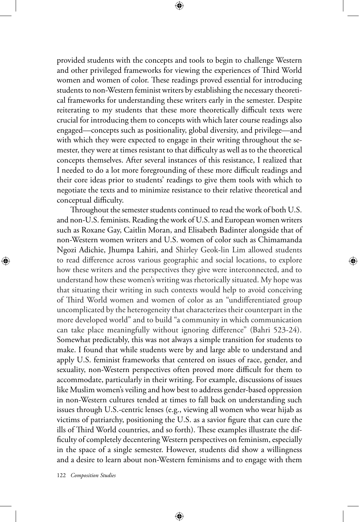provided students with the concepts and tools to begin to challenge Western and other privileged frameworks for viewing the experiences of Third World women and women of color. These readings proved essential for introducing students to non-Western feminist writers by establishing the necessary theoretical frameworks for understanding these writers early in the semester. Despite reiterating to my students that these more theoretically difficult texts were crucial for introducing them to concepts with which later course readings also engaged—concepts such as positionality, global diversity, and privilege—and with which they were expected to engage in their writing throughout the semester, they were at times resistant to that difficulty as well as to the theoretical concepts themselves. After several instances of this resistance, I realized that I needed to do a lot more foregrounding of these more difficult readings and their core ideas prior to students' readings to give them tools with which to negotiate the texts and to minimize resistance to their relative theoretical and conceptual difficulty.

Throughout the semester students continued to read the work of both U.S. and non-U.S. feminists. Reading the work of U.S. and European women writers such as Roxane Gay, Caitlin Moran, and Elisabeth Badinter alongside that of non-Western women writers and U.S. women of color such as Chimamanda Ngozi Adichie, Jhumpa Lahiri, and Shirley Geok-lin Lim allowed students to read difference across various geographic and social locations, to explore how these writers and the perspectives they give were interconnected, and to understand how these women's writing was rhetorically situated. My hope was that situating their writing in such contexts would help to avoid conceiving of Third World women and women of color as an "undifferentiated group uncomplicated by the heterogeneity that characterizes their counterpart in the more developed world" and to build "a community in which communication can take place meaningfully without ignoring difference" (Bahri 523-24). Somewhat predictably, this was not always a simple transition for students to make. I found that while students were by and large able to understand and apply U.S. feminist frameworks that centered on issues of race, gender, and sexuality, non-Western perspectives often proved more difficult for them to accommodate, particularly in their writing. For example, discussions of issues like Muslim women's veiling and how best to address gender-based oppression in non-Western cultures tended at times to fall back on understanding such issues through U.S.-centric lenses (e.g., viewing all women who wear hijab as victims of patriarchy, positioning the U.S. as a savior figure that can cure the ills of Third World countries, and so forth). These examples illustrate the difficulty of completely decentering Western perspectives on feminism, especially in the space of a single semester. However, students did show a willingness and a desire to learn about non-Western feminisms and to engage with them

⊕

122 *Composition Studies*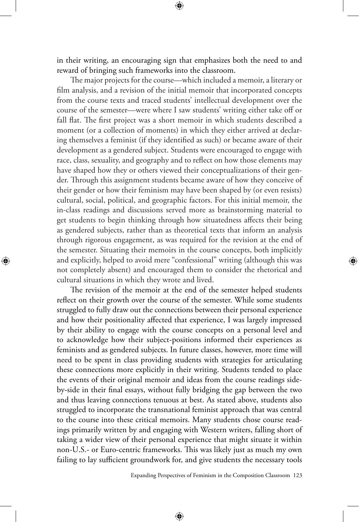in their writing, an encouraging sign that emphasizes both the need to and reward of bringing such frameworks into the classroom.

The major projects for the course—which included a memoir, a literary or film analysis, and a revision of the initial memoir that incorporated concepts from the course texts and traced students' intellectual development over the course of the semester—were where I saw students' writing either take off or fall flat. The first project was a short memoir in which students described a moment (or a collection of moments) in which they either arrived at declaring themselves a feminist (if they identified as such) or became aware of their development as a gendered subject. Students were encouraged to engage with race, class, sexuality, and geography and to reflect on how those elements may have shaped how they or others viewed their conceptualizations of their gender. Through this assignment students became aware of how they conceive of their gender or how their feminism may have been shaped by (or even resists) cultural, social, political, and geographic factors. For this initial memoir, the in-class readings and discussions served more as brainstorming material to get students to begin thinking through how situatedness affects their being as gendered subjects, rather than as theoretical texts that inform an analysis through rigorous engagement, as was required for the revision at the end of the semester. Situating their memoirs in the course concepts, both implicitly and explicitly, helped to avoid mere "confessional" writing (although this was not completely absent) and encouraged them to consider the rhetorical and cultural situations in which they wrote and lived.

⊕

The revision of the memoir at the end of the semester helped students reflect on their growth over the course of the semester. While some students struggled to fully draw out the connections between their personal experience and how their positionality affected that experience, I was largely impressed by their ability to engage with the course concepts on a personal level and to acknowledge how their subject-positions informed their experiences as feminists and as gendered subjects. In future classes, however, more time will need to be spent in class providing students with strategies for articulating these connections more explicitly in their writing. Students tended to place the events of their original memoir and ideas from the course readings sideby-side in their final essays, without fully bridging the gap between the two and thus leaving connections tenuous at best. As stated above, students also struggled to incorporate the transnational feminist approach that was central to the course into these critical memoirs. Many students chose course readings primarily written by and engaging with Western writers, falling short of taking a wider view of their personal experience that might situate it within non-U.S.- or Euro-centric frameworks. This was likely just as much my own failing to lay sufficient groundwork for, and give students the necessary tools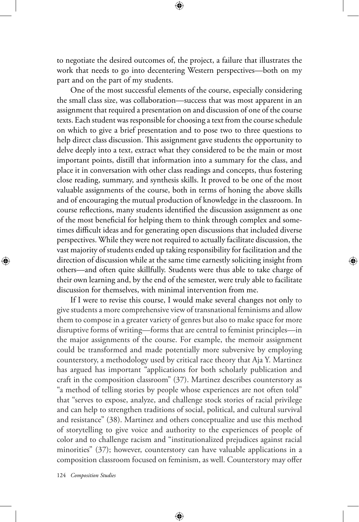to negotiate the desired outcomes of, the project, a failure that illustrates the work that needs to go into decentering Western perspectives—both on my part and on the part of my students.

One of the most successful elements of the course, especially considering the small class size, was collaboration—success that was most apparent in an assignment that required a presentation on and discussion of one of the course texts. Each student was responsible for choosing a text from the course schedule on which to give a brief presentation and to pose two to three questions to help direct class discussion. This assignment gave students the opportunity to delve deeply into a text, extract what they considered to be the main or most important points, distill that information into a summary for the class, and place it in conversation with other class readings and concepts, thus fostering close reading, summary, and synthesis skills. It proved to be one of the most valuable assignments of the course, both in terms of honing the above skills and of encouraging the mutual production of knowledge in the classroom. In course reflections, many students identified the discussion assignment as one of the most beneficial for helping them to think through complex and sometimes difficult ideas and for generating open discussions that included diverse perspectives. While they were not required to actually facilitate discussion, the vast majority of students ended up taking responsibility for facilitation and the direction of discussion while at the same time earnestly soliciting insight from others—and often quite skillfully. Students were thus able to take charge of their own learning and, by the end of the semester, were truly able to facilitate discussion for themselves, with minimal intervention from me.

If I were to revise this course, I would make several changes not only to give students a more comprehensive view of transnational feminisms and allow them to compose in a greater variety of genres but also to make space for more disruptive forms of writing—forms that are central to feminist principles—in the major assignments of the course. For example, the memoir assignment could be transformed and made potentially more subversive by employing counterstory, a methodology used by critical race theory that Aja Y. Martinez has argued has important "applications for both scholarly publication and craft in the composition classroom" (37). Martinez describes counterstory as "a method of telling stories by people whose experiences are not often told" that "serves to expose, analyze, and challenge stock stories of racial privilege and can help to strengthen traditions of social, political, and cultural survival and resistance" (38). Martinez and others conceptualize and use this method of storytelling to give voice and authority to the experiences of people of color and to challenge racism and "institutionalized prejudices against racial minorities" (37); however, counterstory can have valuable applications in a composition classroom focused on feminism, as well. Counterstory may offer

⊕

124 *Composition Studies*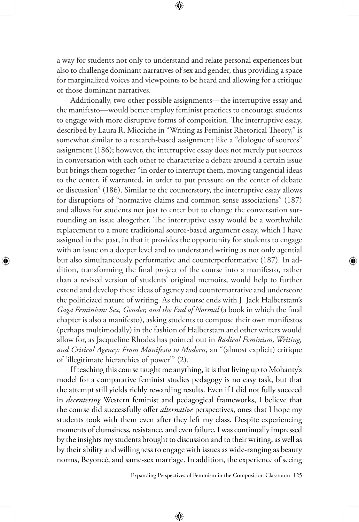a way for students not only to understand and relate personal experiences but also to challenge dominant narratives of sex and gender, thus providing a space for marginalized voices and viewpoints to be heard and allowing for a critique of those dominant narratives.

⊕

Additionally, two other possible assignments—the interruptive essay and the manifesto—would better employ feminist practices to encourage students to engage with more disruptive forms of composition. The interruptive essay, described by Laura R. Micciche in "Writing as Feminist Rhetorical Theory," is somewhat similar to a research-based assignment like a "dialogue of sources" assignment (186); however, the interruptive essay does not merely put sources in conversation with each other to characterize a debate around a certain issue but brings them together "in order to interrupt them, moving tangential ideas to the center, if warranted, in order to put pressure on the center of debate or discussion" (186). Similar to the counterstory, the interruptive essay allows for disruptions of "normative claims and common sense associations" (187) and allows for students not just to enter but to change the conversation surrounding an issue altogether. The interruptive essay would be a worthwhile replacement to a more traditional source-based argument essay, which I have assigned in the past, in that it provides the opportunity for students to engage with an issue on a deeper level and to understand writing as not only agential but also simultaneously performative and counterperformative (187). In addition, transforming the final project of the course into a manifesto, rather than a revised version of students' original memoirs, would help to further extend and develop these ideas of agency and counternarrative and underscore the politicized nature of writing. As the course ends with J. Jack Halberstam's *Gaga Feminism: Sex, Gender, and the End of Normal* (a book in which the final chapter is also a manifesto), asking students to compose their own manifestos (perhaps multimodally) in the fashion of Halberstam and other writers would allow for, as Jacqueline Rhodes has pointed out in *Radical Feminism, Writing, and Critical Agency: From Manifesto to Modern*, an "(almost explicit) critique of 'illegitimate hierarchies of power'" (2).

⊕

If teaching this course taught me anything, it is that living up to Mohanty's model for a comparative feminist studies pedagogy is no easy task, but that the attempt still yields richly rewarding results. Even if I did not fully succeed in *decentering* Western feminist and pedagogical frameworks, I believe that the course did successfully offer *alternative* perspectives, ones that I hope my students took with them even after they left my class. Despite experiencing moments of clumsiness, resistance, and even failure, I was continually impressed by the insights my students brought to discussion and to their writing, as well as by their ability and willingness to engage with issues as wide-ranging as beauty norms, Beyoncé, and same-sex marriage. In addition, the experience of seeing

⊕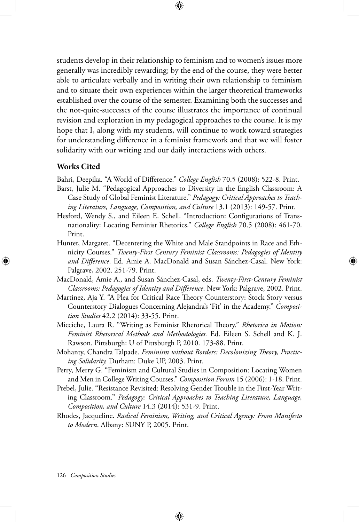students develop in their relationship to feminism and to women's issues more generally was incredibly rewarding; by the end of the course, they were better able to articulate verbally and in writing their own relationship to feminism and to situate their own experiences within the larger theoretical frameworks established over the course of the semester. Examining both the successes and the not-quite-successes of the course illustrates the importance of continual revision and exploration in my pedagogical approaches to the course. It is my hope that I, along with my students, will continue to work toward strategies for understanding difference in a feminist framework and that we will foster solidarity with our writing and our daily interactions with others.

⊕

### **Works Cited**

⊕

Bahri, Deepika. "A World of Difference." *College English* 70.5 (2008): 522-8. Print.

- Barst, Julie M. "Pedagogical Approaches to Diversity in the English Classroom: A Case Study of Global Feminist Literature." *Pedagogy: Critical Approaches to Teaching Literature, Language, Composition, and Culture* 13.1 (2013): 149-57. Print.
- Hesford, Wendy S., and Eileen E. Schell. "Introduction: Configurations of Transnationality: Locating Feminist Rhetorics." *College English* 70.5 (2008): 461-70. Print.
- Hunter, Margaret. "Decentering the White and Male Standpoints in Race and Ethnicity Courses." *Twenty-First Century Feminist Classrooms: Pedagogies of Identity and Difference*. Ed. Amie A. MacDonald and Susan Sánchez-Casal. New York: Palgrave, 2002. 251-79. Print.
- MacDonald, Amie A., and Susan Sánchez-Casal, eds. *Twenty-First-Century Feminist Classrooms: Pedagogies of Identity and Difference*. New York: Palgrave, 2002. Print.
- Martinez, Aja Y. "A Plea for Critical Race Theory Counterstory: Stock Story versus Counterstory Dialogues Concerning Alejandra's 'Fit' in the Academy." *Composition Studies* 42.2 (2014): 33-55. Print.
- Micciche, Laura R. "Writing as Feminist Rhetorical Theory." *Rhetorica in Motion: Feminist Rhetorical Methods and Methodologies.* Ed. Eileen S. Schell and K. J. Rawson. Pittsburgh: U of Pittsburgh P, 2010. 173-88. Print.
- Mohanty, Chandra Talpade. *Feminism without Borders: Decolonizing Theory, Practicing Solidarity.* Durham: Duke UP, 2003. Print.
- Perry, Merry G. "Feminism and Cultural Studies in Composition: Locating Women and Men in College Writing Courses." *Composition Forum* 15 (2006): 1-18. Print.
- Prebel, Julie. "Resistance Revisited: Resolving Gender Trouble in the First-Year Writing Classroom." *Pedagogy: Critical Approaches to Teaching Literature, Language, Composition, and Culture* 14.3 (2014): 531-9. Print.
- Rhodes, Jacqueline. *Radical Feminism, Writing, and Critical Agency: From Manifesto to Modern*. Albany: SUNY P, 2005. Print.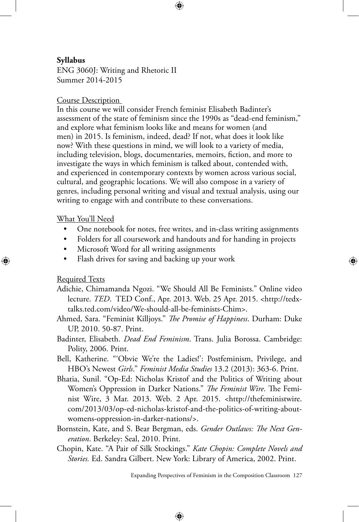↔

# **Syllabus**

ENG 3060J: Writing and Rhetoric II Summer 2014-2015

# Course Description

In this course we will consider French feminist Elisabeth Badinter's assessment of the state of feminism since the 1990s as "dead-end feminism," and explore what feminism looks like and means for women (and men) in 2015. Is feminism, indeed, dead? If not, what does it look like now? With these questions in mind, we will look to a variety of media, including television, blogs, documentaries, memoirs, fiction, and more to investigate the ways in which feminism is talked about, contended with, and experienced in contemporary contexts by women across various social, cultural, and geographic locations. We will also compose in a variety of genres, including personal writing and visual and textual analysis, using our writing to engage with and contribute to these conversations.

# What You'll Need

- One notebook for notes, free writes, and in-class writing assignments
- Folders for all coursework and handouts and for handing in projects
- Microsoft Word for all writing assignments
- Flash drives for saving and backing up your work

# Required Texts

⊕

- Adichie, Chimamanda Ngozi. "We Should All Be Feminists." Online video lecture. *TED*. TED Conf., Apr. 2013. Web. 25 Apr. 2015. <http://tedxtalks.ted.com/video/We-should-all-be-feminists-Chim>.
- Ahmed, Sara. "Feminist Killjoys." *The Promise of Happiness*. Durham: Duke UP, 2010. 50-87. Print.
- Badinter, Elisabeth. *Dead End Feminism*. Trans. Julia Borossa. Cambridge: Polity, 2006. Print.
- Bell, Katherine. "'Obvie We're the Ladies!': Postfeminism, Privilege, and HBO's Newest *Girls*." *Feminist Media Studies* 13.2 (2013): 363-6. Print.
- Bhatia, Sunil. "Op-Ed: Nicholas Kristof and the Politics of Writing about Women's Oppression in Darker Nations." *The Feminist Wire*. The Feminist Wire, 3 Mar. 2013. Web. 2 Apr. 2015. <http://thefeministwire. com/2013/03/op-ed-nicholas-kristof-and-the-politics-of-writing-aboutwomens-oppression-in-darker-nations/>.
- Bornstein, Kate, and S. Bear Bergman, eds. *Gender Outlaws: The Next Generation*. Berkeley: Seal, 2010. Print.
- Chopin, Kate. "A Pair of Silk Stockings." *Kate Chopin: Complete Novels and Stories.* Ed. Sandra Gilbert. New York: Library of America, 2002. Print.

⊕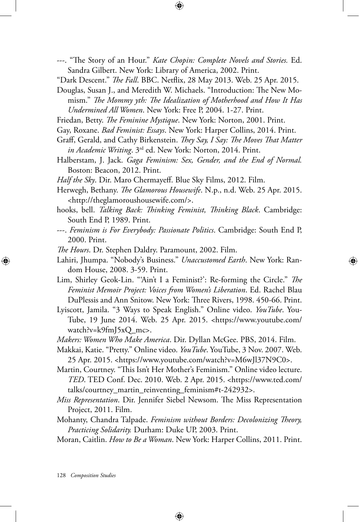---. "The Story of an Hour." *Kate Chopin: Complete Novels and Stories.* Ed. Sandra Gilbert. New York: Library of America, 2002. Print.

⊕

"Dark Descent." *The Fall*. BBC. Netflix, 28 May 2013. Web. 25 Apr. 2015.

Douglas, Susan J., and Meredith W. Michaels. "Introduction: The New Momism." *The Mommy yth: The Idealization of Motherhood and How It Has Undermined All Women*. New York: Free P, 2004. 1-27. Print.

- Friedan, Betty. *The Feminine Mystique*. New York: Norton, 2001. Print.
- Gay, Roxane. *Bad Feminist: Essays*. New York: Harper Collins, 2014. Print.
- Graff, Gerald, and Cathy Birkenstein. *They Say, I Say: The Moves That Matter in Academic Writing*. 3rd ed. New York: Norton, 2014. Print.
- Halberstam, J. Jack. *Gaga Feminism: Sex, Gender, and the End of Normal.* Boston: Beacon, 2012. Print.
- *Half the Sky*. Dir. Maro Chermayeff. Blue Sky Films, 2012. Film.
- Herwegh, Bethany. *The Glamorous Housewife*. N.p., n.d. Web. 25 Apr. 2015. <http://theglamoroushousewife.com/>.
- hooks, bell. *Talking Back: Thinking Feminist, Thinking Black*. Cambridge: South End P, 1989. Print.
- ---. *Feminism is For Everybody: Passionate Politics*. Cambridge: South End P, 2000. Print.
- *The Hours*. Dr. Stephen Daldry. Paramount, 2002. Film.
- Lahiri, Jhumpa. "Nobody's Business." *Unaccustomed Earth*. New York: Random House, 2008. 3-59. Print.

↔

- Lim, Shirley Geok-Lin. "'Ain't I a Feminist?': Re-forming the Circle." *The Feminist Memoir Project: Voices from Women's Liberation*. Ed. Rachel Blau DuPlessis and Ann Snitow. New York: Three Rivers, 1998. 450-66. Print.
- Lyiscott, Jamila. "3 Ways to Speak English." Online video. *YouTube*. You-Tube, 19 June 2014. Web. 25 Apr. 2015. <https://www.youtube.com/ watch?v=k9fmJ5xQ\_mc>.
- *Makers: Women Who Make America*. Dir. Dyllan McGee. PBS, 2014. Film.
- Makkai, Katie. "Pretty." Online video. *YouTube*. YouTube, 3 Nov. 2007. Web. 25 Apr. 2015. <https://www.youtube.com/watch?v=M6wJl37N9C0>.
- Martin, Courtney. "This Isn't Her Mother's Feminism." Online video lecture. *TED*. TED Conf. Dec. 2010. Web. 2 Apr. 2015. <https://www.ted.com/ talks/courtney\_martin\_reinventing\_feminism#t-242932>.
- *Miss Representation*. Dir. Jennifer Siebel Newsom. The Miss Representation Project, 2011. Film.
- Mohanty, Chandra Talpade. *Feminism without Borders: Decolonizing Theory, Practicing Solidarity.* Durham: Duke UP, 2003. Print.
- Moran, Caitlin. *How to Be a Woman*. New York: Harper Collins, 2011. Print.

⊕

128 *Composition Studies*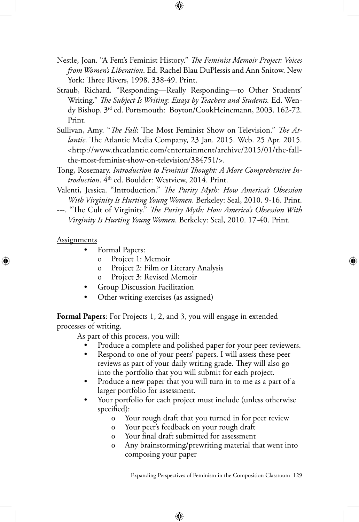Nestle, Joan. "A Fem's Feminist History." *The Feminist Memoir Project: Voices from Women's Liberation*. Ed. Rachel Blau DuPlessis and Ann Snitow. New York: Three Rivers, 1998. 338-49. Print.

↔

- Straub, Richard. "Responding—Really Responding—to Other Students' Writing." *The Subject Is Writing: Essays by Teachers and Students.* Ed. Wendy Bishop. 3rd ed. Portsmouth: Boyton/CookHeinemann, 2003. 162-72. Print.
- Sullivan, Amy. "*The Fall*: The Most Feminist Show on Television." *The Atlantic*. The Atlantic Media Company, 23 Jan. 2015. Web. 25 Apr. 2015. <http://www.theatlantic.com/entertainment/archive/2015/01/the-fallthe-most-feminist-show-on-television/384751/>.
- Tong, Rosemary. *Introduction to Feminist Thought: A More Comprehensive In*troduction. 4<sup>th</sup> ed. Boulder: Westview, 2014. Print.
- Valenti, Jessica. "Introduction." *The Purity Myth: How America's Obsession With Virginity Is Hurting Young Women*. Berkeley: Seal, 2010. 9-16. Print.
- ---. "The Cult of Virginity." *The Purity Myth: How America's Obsession With Virginity Is Hurting Young Women*. Berkeley: Seal, 2010. 17-40. Print.

#### **Assignments**

⊕

- Formal Papers:
	- o Project 1: Memoir
	- o Project 2: Film or Literary Analysis
	- Project 3: Revised Memoir
- Group Discussion Facilitation
- Other writing exercises (as assigned)

**Formal Papers**: For Projects 1, 2, and 3, you will engage in extended processes of writing.

As part of this process, you will:

Produce a complete and polished paper for your peer reviewers.

↔

- Respond to one of your peers' papers. I will assess these peer reviews as part of your daily writing grade. They will also go into the portfolio that you will submit for each project.
- Produce a new paper that you will turn in to me as a part of a larger portfolio for assessment.
- Your portfolio for each project must include (unless otherwise specified):
	- o Your rough draft that you turned in for peer review
	- o Your peer's feedback on your rough draft
	- o Your final draft submitted for assessment
	- o Any brainstorming/prewriting material that went into composing your paper

Expanding Perspectives of Feminism in the Composition Classroom 129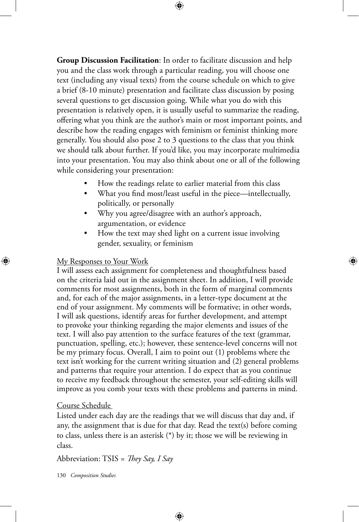**Group Discussion Facilitation**: In order to facilitate discussion and help you and the class work through a particular reading, you will choose one text (including any visual texts) from the course schedule on which to give a brief (8-10 minute) presentation and facilitate class discussion by posing several questions to get discussion going. While what you do with this presentation is relatively open, it is usually useful to summarize the reading, offering what you think are the author's main or most important points, and describe how the reading engages with feminism or feminist thinking more generally. You should also pose 2 to 3 questions to the class that you think we should talk about further. If you'd like, you may incorporate multimedia into your presentation. You may also think about one or all of the following while considering your presentation:

⊕

- How the readings relate to earlier material from this class
- What you find most/least useful in the piece—intellectually, politically, or personally
- Why you agree/disagree with an author's approach, argumentation, or evidence
- How the text may shed light on a current issue involving gender, sexuality, or feminism

⊕

#### My Responses to Your Work

⊕

I will assess each assignment for completeness and thoughtfulness based on the criteria laid out in the assignment sheet. In addition, I will provide comments for most assignments, both in the form of marginal comments and, for each of the major assignments, in a letter-type document at the end of your assignment. My comments will be formative; in other words, I will ask questions, identify areas for further development, and attempt to provoke your thinking regarding the major elements and issues of the text. I will also pay attention to the surface features of the text (grammar, punctuation, spelling, etc.); however, these sentence-level concerns will not be my primary focus. Overall, I aim to point out (1) problems where the text isn't working for the current writing situation and (2) general problems and patterns that require your attention. I do expect that as you continue to receive my feedback throughout the semester, your self-editing skills will improve as you comb your texts with these problems and patterns in mind.

### Course Schedule

Listed under each day are the readings that we will discuss that day and, if any, the assignment that is due for that day. Read the text(s) before coming to class, unless there is an asterisk (\*) by it; those we will be reviewing in class.

⊕

Abbreviation: TSIS = *They Say, I Say*

130 *Composition Studies*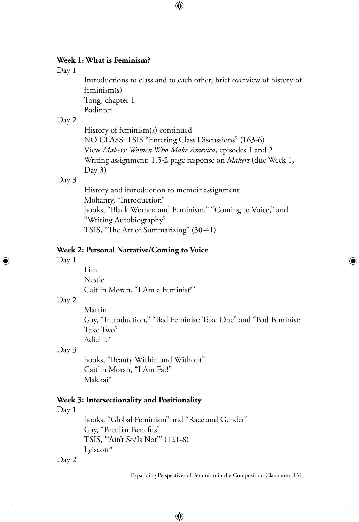# **Week 1: What is Feminism?**

#### Day 1

Introductions to class and to each other; brief overview of history of feminism(s) Tong, chapter 1 Badinter

 $\bigoplus$ 

#### Day 2

History of feminism(s) continued NO CLASS: TSIS "Entering Class Discussions" (163-6) View *Makers: Women Who Make America*, episodes 1 and 2 Writing assignment: 1.5-2 page response on *Makers* (due Week 1, Day 3)

#### Day 3

History and introduction to memoir assignment Mohanty, "Introduction" hooks, "Black Women and Feminism," "Coming to Voice," and "Writing Autobiography" TSIS, "The Art of Summarizing" (30-41)

### **Week 2: Personal Narrative/Coming to Voice**

#### Day 1

⊕

Lim Nestle Caitlin Moran, "I Am a Feminist!"

#### Day 2

Martin Gay, "Introduction," "Bad Feminist: Take One" and "Bad Feminist: Take Two" Adichie\*

⊕

# Day 3

hooks, "Beauty Within and Without" Caitlin Moran, "I Am Fat!" Makkai\*

# **Week 3: Intersectionality and Positionality**

Day 1

hooks, "Global Feminism" and "Race and Gender" Gay, "Peculiar Benefits" TSIS, "'Ain't So/Is Not'" (121-8) Lyiscott\*

 $\bigoplus$ 

Day 2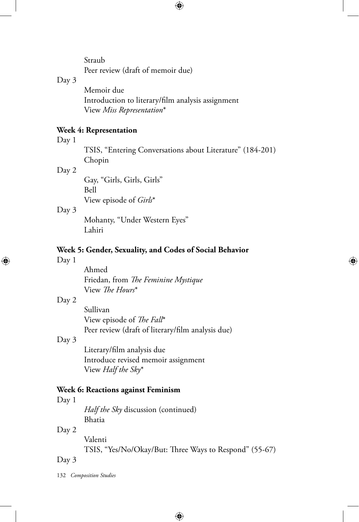Straub Peer review (draft of memoir due)

# Day 3

Memoir due Introduction to literary/film analysis assignment View *Miss Representation*\*

# **Week 4: Representation**

#### Day 1

TSIS, "Entering Conversations about Literature" (184-201) Chopin

⊕

 $\bigoplus$ 

#### Day 2

Gay, "Girls, Girls, Girls" Bell View episode of *Girls*\*

#### Day 3

Mohanty, "Under Western Eyes" Lahiri

# **Week 5: Gender, Sexuality, and Codes of Social Behavior**

### Day 1

⊕

Ahmed Friedan, from *The Feminine Mystique* View *The Hours*\*

### Day 2

Sullivan View episode of *The Fall*\* Peer review (draft of literary/film analysis due)

# Day 3

Literary/film analysis due Introduce revised memoir assignment View *Half the Sky*\*

#### **Week 6: Reactions against Feminism**

#### Day 1

*Half the Sky* discussion (continued) Bhatia

# Day 2

Valenti TSIS, "Yes/No/Okay/But: Three Ways to Respond" (55-67)

 $\bigoplus$ 

# Day 3

132 *Composition Studies*